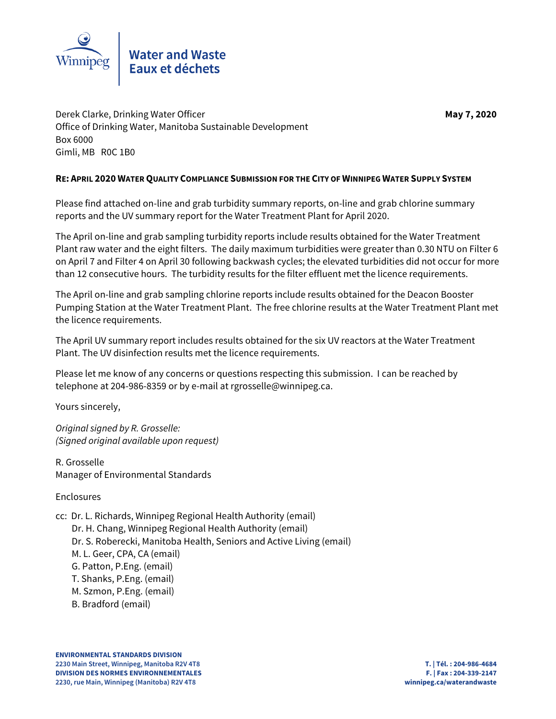

Derek Clarke, Drinking Water Officer **May 7, 2020** Office of Drinking Water, Manitoba Sustainable Development Box 6000 Gimli, MB R0C 1B0

## **RE: APRIL 2020 WATER QUALITY COMPLIANCE SUBMISSION FOR THE CITY OF WINNIPEG WATER SUPPLY SYSTEM**

Please find attached on-line and grab turbidity summary reports, on-line and grab chlorine summary reports and the UV summary report for the Water Treatment Plant for April 2020.

The April on-line and grab sampling turbidity reports include results obtained for the Water Treatment Plant raw water and the eight filters. The daily maximum turbidities were greater than 0.30 NTU on Filter 6 on April 7 and Filter 4 on April 30 following backwash cycles; the elevated turbidities did not occur for more than 12 consecutive hours. The turbidity results for the filter effluent met the licence requirements.

The April on-line and grab sampling chlorine reports include results obtained for the Deacon Booster Pumping Station at the Water Treatment Plant. The free chlorine results at the Water Treatment Plant met the licence requirements.

The April UV summary report includes results obtained for the six UV reactors at the Water Treatment Plant. The UV disinfection results met the licence requirements.

Please let me know of any concerns or questions respecting this submission. I can be reached by telephone at 204-986-8359 or by e-mail at rgrosselle@winnipeg.ca.

Yours sincerely,

Original signed by R. Grosselle: (Signed original available upon request)

R. Grosselle Manager of Environmental Standards

**Enclosures** 

- cc: Dr. L. Richards, Winnipeg Regional Health Authority (email)
	- Dr. H. Chang, Winnipeg Regional Health Authority (email)
	- Dr. S. Roberecki, Manitoba Health, Seniors and Active Living (email)
	- M. L. Geer, CPA, CA (email)
	- G. Patton, P.Eng. (email)
	- T. Shanks, P.Eng. (email)
	- M. Szmon, P.Eng. (email)
	- B. Bradford (email)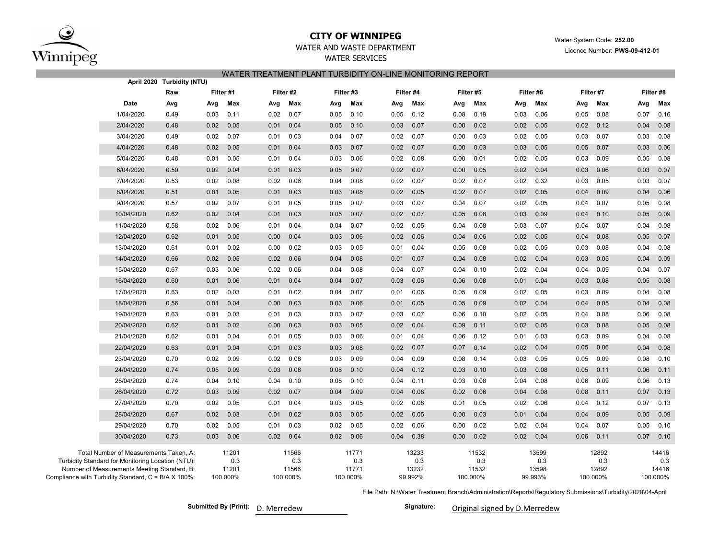

### **CITY OF WINNIPEG**

Water System Code: **252.00**

Licence Number: **PWS-09-412-01**

# WATER AND WASTE DEPARTMENT

WATER SERVICES

| WATER TREATMENT PLANT TURBIDITY ON-LINE MONITORING REPORT<br>April 2020 Turbidity (NTU) |           |           |           |           |           |           |           |           |  |  |  |  |
|-----------------------------------------------------------------------------------------|-----------|-----------|-----------|-----------|-----------|-----------|-----------|-----------|--|--|--|--|
| Raw                                                                                     | Filter #1 | Filter #2 | Filter #3 | Filter #4 | Filter #5 | Filter #6 | Filter #7 | Filter #8 |  |  |  |  |
| Date                                                                                    | Max       | Max       | Max       | Max       | Max       | Max       | Max       | Max       |  |  |  |  |
| Avg                                                                                     | Avg       | Avg       | Avg       | Avg       | Avg       | Avg       | Avg       | Avg       |  |  |  |  |
| 0.49                                                                                    | 0.11      | 0.07      | 0.10      | 0.12      | 0.08      | 0.06      | 0.08      | 0.07      |  |  |  |  |
| 1/04/2020                                                                               | 0.03      | 0.02      | 0.05      | 0.05      | 0.19      | 0.03      | 0.05      | 0.16      |  |  |  |  |
| 2/04/2020                                                                               | 0.02      | 0.04      | 0.10      | 0.03      | 0.02      | 0.02      | 0.02      | 0.08      |  |  |  |  |
| 0.48                                                                                    | 0.05      | 0.01      | 0.05      | 0.07      | 0.00      | 0.05      | 0.12      | 0.04      |  |  |  |  |
| 3/04/2020                                                                               | 0.07      | 0.03      | 0.04      | 0.02      | 0.03      | 0.05      | 0.03      | 0.08      |  |  |  |  |
| 0.49                                                                                    | 0.02      | 0.01      | 0.07      | 0.07      | 0.00      | 0.02      | 0.07      | 0.03      |  |  |  |  |
| 4/04/2020                                                                               | 0.05      | 0.04      | 0.07      | 0.07      | 0.00      | 0.03      | 0.07      | 0.03      |  |  |  |  |
| 0.48                                                                                    | 0.02      | 0.01      | 0.03      | 0.02      | 0.03      | 0.05      | 0.05      | 0.06      |  |  |  |  |
| 5/04/2020                                                                               | 0.05      | 0.04      | 0.06      | 0.08      | 0.01      | 0.05      | 0.09      | 0.08      |  |  |  |  |
| 0.48                                                                                    | 0.01      | 0.01      | 0.03      | 0.02      | 0.00      | 0.02      | 0.03      | 0.05      |  |  |  |  |
| 6/04/2020                                                                               | 0.02      | 0.03      | 0.05      | 0.02      | 0.05      | 0.04      | 0.03      | 0.07      |  |  |  |  |
| 0.50                                                                                    | 0.04      | 0.01      | 0.07      | 0.07      | 0.00      | 0.02      | 0.06      | 0.03      |  |  |  |  |
| 7/04/2020                                                                               | 0.02      | 0.06      | 0.08      | 0.02      | 0.07      | 0.02      | 0.05      | 0.07      |  |  |  |  |
| 0.53                                                                                    | 0.08      | 0.02      | 0.04      | 0.07      | 0.02      | 0.32      | 0.03      | 0.03      |  |  |  |  |
| 8/04/2020                                                                               | 0.01      | 0.03      | 0.08      | 0.02      | 0.02      | 0.05      | 0.09      | 0.04      |  |  |  |  |
| 0.51                                                                                    | 0.05      | 0.01      | 0.03      | 0.05      | 0.07      | 0.02      | 0.04      | 0.06      |  |  |  |  |
| 0.57                                                                                    | 0.07      | 0.05      | 0.07      | 0.07      | 0.07      | 0.05      | 0.07      | 0.08      |  |  |  |  |
| 9/04/2020                                                                               | 0.02      | 0.01      | 0.05      | 0.03      | 0.04      | 0.02      | 0.04      | 0.05      |  |  |  |  |
| 0.62                                                                                    | 0.02      | 0.03      | 0.05      | 0.07      | 0.05      | 0.03      | 0.10      | 0.09      |  |  |  |  |
| 10/04/2020                                                                              | 0.04      | 0.01      | 0.07      | 0.02      | 0.08      | 0.09      | 0.04      | 0.05      |  |  |  |  |
| 0.58                                                                                    | 0.02      | 0.04      | 0.07      | 0.05      | 0.08      | 0.03      | 0.07      | 0.08      |  |  |  |  |
| 11/04/2020                                                                              | 0.06      | 0.01      | 0.04      | 0.02      | 0.04      | 0.07      | 0.04      | 0.04      |  |  |  |  |
| 12/04/2020                                                                              | 0.01      | 0.04      | 0.06      | 0.06      | 0.06      | 0.05      | 0.08      | 0.07      |  |  |  |  |
| 0.62                                                                                    | 0.05      | 0.00      | 0.03      | 0.02      | 0.04      | 0.02      | 0.04      | 0.05      |  |  |  |  |
| 13/04/2020                                                                              | 0.02      | 0.02      | 0.05      | 0.04      | 0.08      | 0.05      | 0.08      | 0.08      |  |  |  |  |
| 0.61                                                                                    | 0.01      | 0.00      | 0.03      | 0.01      | 0.05      | 0.02      | 0.03      | 0.04      |  |  |  |  |
| 14/04/2020                                                                              | 0.05      | 0.02      | 0.08      | 0.07      | 0.04      | 0.02      | 0.05      | 0.04      |  |  |  |  |
| 0.66                                                                                    | 0.02      | 0.06      | 0.04      | 0.01      | 0.08      | 0.04      | 0.03      | 0.09      |  |  |  |  |
| 0.67                                                                                    | 0.06      | 0.02      | 0.08      | 0.07      | 0.10      | 0.02      | 0.09      | 0.07      |  |  |  |  |
| 15/04/2020                                                                              | 0.03      | 0.06      | 0.04      | 0.04      | 0.04      | 0.04      | 0.04      | 0.04      |  |  |  |  |
| 16/04/2020                                                                              | 0.06      | 0.04      | 0.07      | 0.03      | 0.08      | 0.04      | 0.03      | 0.08      |  |  |  |  |
| 0.60                                                                                    | 0.01      | 0.01      | 0.04      | 0.06      | 0.06      | 0.01      | 0.08      | 0.05      |  |  |  |  |
| 0.63                                                                                    | 0.02      | 0.02      | 0.07      | 0.06      | 0.09      | 0.05      | 0.09      | 0.08      |  |  |  |  |
| 17/04/2020                                                                              | 0.03      | 0.01      | 0.04      | 0.01      | 0.05      | 0.02      | 0.03      | 0.04      |  |  |  |  |
| 0.56                                                                                    | 0.04      | 0.03      | 0.06      | 0.05      | 0.05      | 0.02      | 0.05      | 0.08      |  |  |  |  |
| 18/04/2020                                                                              | 0.01      | 0.00      | 0.03      | 0.01      | 0.09      | 0.04      | 0.04      | 0.04      |  |  |  |  |
| 19/04/2020                                                                              | 0.03      | 0.03      | 0.07      | 0.07      | 0.10      | 0.05      | 0.08      | 0.08      |  |  |  |  |
| 0.63                                                                                    | 0.01      | 0.01      | 0.03      | 0.03      | 0.06      | 0.02      | 0.04      | 0.06      |  |  |  |  |
| 20/04/2020                                                                              | 0.02      | 0.03      | 0.03      | 0.04      | 0.11      | 0.02      | 0.08      | 0.08      |  |  |  |  |
| 0.62                                                                                    | 0.01      | 0.00      | 0.05      | 0.02      | 0.09      | 0.05      | 0.03      | 0.05      |  |  |  |  |
| 0.62                                                                                    | 0.04      | 0.05      | 0.06      | 0.04      | 0.12      | 0.03      | 0.09      | 0.08      |  |  |  |  |
| 21/04/2020                                                                              | 0.01      | 0.01      | 0.03      | 0.01      | 0.06      | 0.01      | 0.03      | 0.04      |  |  |  |  |
| 22/04/2020                                                                              | 0.01      | 0.03      | 0.08      | 0.02      | 0.14      | 0.04      | 0.06      | 0.08      |  |  |  |  |
| 0.63                                                                                    | 0.04      | 0.01      | 0.03      | 0.07      | 0.07      | 0.02      | 0.05      | 0.04      |  |  |  |  |
| 23/04/2020                                                                              | 0.09      | 0.08      | 0.09      | 0.09      | 0.14      | 0.05      | 0.09      | 0.10      |  |  |  |  |
| 0.70                                                                                    | 0.02      | 0.02      | 0.03      | 0.04      | 0.08      | 0.03      | 0.05      | 0.08      |  |  |  |  |
| 24/04/2020                                                                              | 0.09      | 0.08      | 0.08      | 0.12      | 0.03      | 0.03      | 0.11      | 0.06      |  |  |  |  |
| 0.74                                                                                    | 0.05      | 0.03      | 0.10      | 0.04      | 0.10      | 0.08      | 0.05      | 0.11      |  |  |  |  |
| 25/04/2020                                                                              | 0.10      | 0.10      | 0.10      | 0.11      | 0.08      | 0.04      | 0.09      | 0.13      |  |  |  |  |
| 0.74                                                                                    | 0.04      | 0.04      | 0.05      | 0.04      | 0.03      | 0.08      | 0.06      | 0.06      |  |  |  |  |
| 0.72                                                                                    | 0.09      | 0.07      | 0.04      | 0.08      | 0.02      | 0.08      | 0.08      | 0.13      |  |  |  |  |
| 26/04/2020                                                                              | 0.03      | 0.02      | 0.09      | 0.04      | 0.06      | 0.04      | 0.11      | 0.07      |  |  |  |  |
| 27/04/2020                                                                              | 0.02      | 0.04      | 0.05      | 0.02      | 0.05      | 0.06      | 0.12      | 0.13      |  |  |  |  |
| 0.70                                                                                    | 0.05      | 0.01      | 0.03      | 0.08      | 0.01      | 0.02      | 0.04      | 0.07      |  |  |  |  |
| 0.67                                                                                    | 0.02      | 0.02      | 0.05      | 0.05      | 0.00      | 0.04      | 0.09      | 0.05      |  |  |  |  |
| 28/04/2020                                                                              | 0.03      | 0.01      | 0.03      | 0.02      | 0.03      | 0.01      | 0.04      | 0.09      |  |  |  |  |
| 29/04/2020                                                                              | 0.02      | 0.03      | 0.05      | 0.02      | 0.00      | 0.04      | 0.07      | 0.10      |  |  |  |  |
| 0.70                                                                                    | 0.05      | 0.01      | 0.02      | 0.06      | 0.02      | 0.02      | 0.04      | 0.05      |  |  |  |  |
| 30/04/2020                                                                              | 0.06      | 0.04      | 0.06      | 0.04      | 0.00      | 0.02      | 0.06      | 0.10      |  |  |  |  |
| 0.73                                                                                    | 0.03      | 0.02      | 0.02      | 0.38      | 0.02      | 0.04      | 0.11      | 0.07      |  |  |  |  |
| Total Number of Measurements Taken, A:                                                  | 11201     | 11566     | 11771     | 13233     | 11532     | 13599     | 12892     | 14416     |  |  |  |  |
| Turbidity Standard for Monitoring Location (NTU):                                       | 0.3       | 0.3       | 0.3       | 0.3       | 0.3       | 0.3       | 0.3       | 0.3       |  |  |  |  |
| Number of Measurements Meeting Standard, B:                                             | 11201     | 11566     | 11771     | 13232     | 11532     | 13598     | 12892     | 14416     |  |  |  |  |
| Compliance with Turbidity Standard, C = B/A X 100%:                                     | 100.000%  | 100.000%  | 100.000%  | 99.992%   | 100.000%  | 99.993%   | 100.000%  | 100.000%  |  |  |  |  |

File Path: N:\Water Treatment Branch\Administration\Reports\Regulatory Submissions\Turbidity\2020\04-April

Submitted By (Print):  $D.$  Merredew **Signature:** 

Original signed by D.Merredew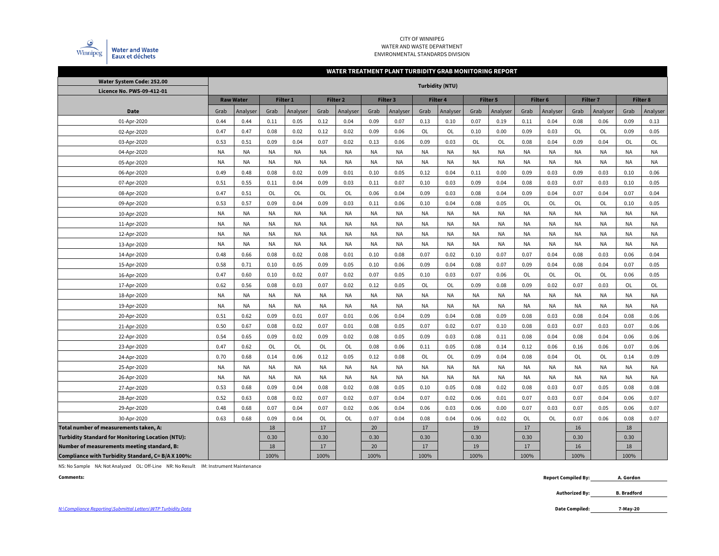

#### CITY OF WINNIPEG WATER AND WASTE DEPARTMENT ENVIRONMENTAL STANDARDS DIVISION

#### **WATER TREATMENT PLANT TURBIDITY GRAB MONITORING REPORT**

| Water System Code: 252.00                                | <b>Turbidity (NTU)</b> |                  |           |                 |           |                     |                  |                     |           |                 |           |                 |                     |           |                 |           |           |           |
|----------------------------------------------------------|------------------------|------------------|-----------|-----------------|-----------|---------------------|------------------|---------------------|-----------|-----------------|-----------|-----------------|---------------------|-----------|-----------------|-----------|-----------|-----------|
| <b>Licence No. PWS-09-412-01</b>                         |                        |                  |           |                 |           |                     |                  |                     |           |                 |           |                 |                     |           |                 |           |           |           |
|                                                          |                        | <b>Raw Water</b> |           | <b>Filter 1</b> |           | Filter <sub>2</sub> |                  | Filter <sub>3</sub> |           | <b>Filter 4</b> |           | <b>Filter 5</b> | Filter <sub>6</sub> |           | <b>Filter 7</b> |           | Filter 8  |           |
| Date                                                     | Analyser<br>Grab       |                  | Grab      | Analyser        | Grab      | Analyser            | Grab<br>Analyser |                     | Grab      | Analyser        |           | Analyser        | Grab<br>Analyser    |           | Grab            | Analyser  | Grab      | Analyser  |
| 01-Apr-2020                                              | 0.44                   | 0.44             | 0.11      | 0.05            | 0.12      | 0.04                | 0.09             | 0.07                | 0.13      | 0.10            | 0.07      | 0.19            | 0.11                | 0.04      | 0.08            | 0.06      | 0.09      | 0.13      |
| 02-Apr-2020                                              | 0.47<br>0.47           |                  | 0.08      | 0.02            | 0.12      | 0.02                | 0.09             | 0.06                | OL        | OL              | 0.10      | 0.00            | 0.09                | 0.03      | OL              | OL        | 0.09      | 0.05      |
| 03-Apr-2020                                              | 0.53                   | 0.51             |           | 0.04            | 0.07      | 0.02                | 0.13             | 0.06                | 0.09      | 0.03            | <b>OL</b> | OL              | 0.08                | 0.04      | 0.09            | 0.04      | OL        | OL        |
| 04-Apr-2020                                              | <b>NA</b>              | <b>NA</b>        |           | NA              | <b>NA</b> | NA                  | <b>NA</b>        | NA                  | <b>NA</b> | <b>NA</b>       | <b>NA</b> | NA              | NA                  | <b>NA</b> | <b>NA</b>       | <b>NA</b> | <b>NA</b> | <b>NA</b> |
| 05-Apr-2020                                              | <b>NA</b>              | <b>NA</b>        | <b>NA</b> | NA              | <b>NA</b> | NA                  | <b>NA</b>        | NA                  | <b>NA</b> | <b>NA</b>       | <b>NA</b> | <b>NA</b>       | NA                  | <b>NA</b> | <b>NA</b>       | <b>NA</b> | <b>NA</b> | <b>NA</b> |
| 06-Apr-2020                                              | 0.49                   | 0.48             | 0.08      | 0.02            | 0.09      | 0.01                | 0.10             | 0.05                | 0.12      | 0.04            | 0.11      | 0.00            | 0.09                | 0.03      | 0.09            | 0.03      | 0.10      | 0.06      |
| 07-Apr-2020                                              | 0.51                   | 0.55             | 0.11      | 0.04            | 0.09      | 0.03                | 0.11             | 0.07                | 0.10      | 0.03            | 0.09      | 0.04            | 0.08                | 0.03      | 0.07            | 0.03      | 0.10      | 0.05      |
| 08-Apr-2020                                              | 0.47                   | 0.51             | OL        | OL              | OL        | OL                  | 0.06             | 0.04                | 0.09      | 0.03            | 0.08      | 0.04            | 0.09                | 0.04      | 0.07            | 0.04      | 0.07      | 0.04      |
| 09-Apr-2020                                              | 0.53                   | 0.57             | 0.09      | 0.04            | 0.09      | 0.03                | 0.11             | 0.06                | 0.10      | 0.04            | 0.08      | 0.05            | OL                  | <b>OL</b> | OL              | <b>OL</b> | 0.10      | 0.05      |
| 10-Apr-2020                                              | <b>NA</b>              | <b>NA</b>        | <b>NA</b> | NA              | NA        | <b>NA</b>           | <b>NA</b>        | <b>NA</b>           | <b>NA</b> | <b>NA</b>       | <b>NA</b> | NA              | NA                  | NA        | <b>NA</b>       | <b>NA</b> | <b>NA</b> | <b>NA</b> |
| 11-Apr-2020                                              | <b>NA</b>              | <b>NA</b>        | NA        | NA              | NA        | <b>NA</b>           | <b>NA</b>        | <b>NA</b>           | <b>NA</b> | <b>NA</b>       | <b>NA</b> | NA              | NA                  | NA        | <b>NA</b>       | <b>NA</b> | <b>NA</b> | <b>NA</b> |
| 12-Apr-2020                                              | <b>NA</b>              | <b>NA</b>        | <b>NA</b> | <b>NA</b>       | NA        | NA                  | <b>NA</b>        | <b>NA</b>           | <b>NA</b> | <b>NA</b>       | <b>NA</b> | NA              | NA                  | NA        | <b>NA</b>       | <b>NA</b> | <b>NA</b> | <b>NA</b> |
| 13-Apr-2020                                              | <b>NA</b>              | <b>NA</b>        | <b>NA</b> | <b>NA</b>       | <b>NA</b> | NA                  | <b>NA</b>        | <b>NA</b>           | <b>NA</b> | <b>NA</b>       | <b>NA</b> | NA              | NA                  | <b>NA</b> | <b>NA</b>       | <b>NA</b> | <b>NA</b> | <b>NA</b> |
| 14-Apr-2020                                              | 0.48                   | 0.66             | 0.08      | 0.02            | 0.08      | 0.01                | 0.10             | 0.08                | 0.07      | 0.02            | 0.10      | 0.07            | 0.07                | 0.04      | 0.08            | 0.03      | 0.06      | 0.04      |
| 15-Apr-2020                                              | 0.58                   | 0.71             | 0.10      | 0.05            | 0.09      | 0.05                | 0.10             | 0.06                | 0.09      | 0.04            | 0.08      | 0.07            | 0.09                | 0.04      | 0.08            | 0.04      | 0.07      | 0.05      |
| 16-Apr-2020                                              | 0.47                   | 0.60             | 0.10      | 0.02            | 0.07      | 0.02                | 0.07             | 0.05                | 0.10      | 0.03            | 0.07      | 0.06            | OL                  | OL        | OL              | OL        | 0.06      | 0.05      |
| 17-Apr-2020                                              | 0.62                   | 0.56             | 0.08      | 0.03            | 0.07      | 0.02                | 0.12             | 0.05                | OL        | OL              | 0.09      | 0.08            | 0.09                | 0.02      | 0.07            | 0.03      | OL        | OL        |
| 18-Apr-2020                                              | <b>NA</b>              | <b>NA</b>        | <b>NA</b> | NA              | <b>NA</b> | NA                  | <b>NA</b>        | <b>NA</b>           | <b>NA</b> | <b>NA</b>       | <b>NA</b> | NA              | NA                  | <b>NA</b> | <b>NA</b>       | <b>NA</b> | <b>NA</b> | <b>NA</b> |
| 19-Apr-2020                                              | <b>NA</b>              | <b>NA</b>        | <b>NA</b> | <b>NA</b>       | <b>NA</b> | NA                  | <b>NA</b>        | <b>NA</b>           | <b>NA</b> | <b>NA</b>       | <b>NA</b> | NA              | <b>NA</b>           | <b>NA</b> | <b>NA</b>       | <b>NA</b> | <b>NA</b> | <b>NA</b> |
| 20-Apr-2020                                              | 0.51                   | 0.62             | 0.09      | 0.01            | 0.07      | 0.01                | 0.06             | 0.04                | 0.09      | 0.04            | 0.08      | 0.09            | 0.08                | 0.03      | 0.08            | 0.04      | 0.08      | 0.06      |
| 21-Apr-2020                                              | 0.50                   | 0.67             | 0.08      | 0.02            | 0.07      | 0.01                | 0.08             | 0.05                | 0.07      | 0.02            | 0.07      | 0.10            | 0.08                | 0.03      | 0.07            | 0.03      | 0.07      | 0.06      |
| 22-Apr-2020                                              | 0.54                   | 0.65             | 0.09      | 0.02            | 0.09      | 0.02                | 0.08             | 0.05                | 0.09      | 0.03            | 0.08      | 0.11            | 0.08                | 0.04      | 0.08            | 0.04      | 0.06      | 0.06      |
| 23-Apr-2020                                              | 0.47                   | 0.62             | OL        | <b>OL</b>       | OL        | <b>OL</b>           | 0.08             | 0.06                | 0.11      | 0.05            | 0.08      | 0.14            | 0.12                | 0.06      | 0.16            | 0.06      | 0.07      | 0.06      |
| 24-Apr-2020                                              | 0.70                   | 0.68             | 0.14      | 0.06            | 0.12      | 0.05                | 0.12             | 0.08                | OL        | OL              | 0.09      | 0.04            | 0.08                | 0.04      | OL              | <b>OL</b> | 0.14      | 0.09      |
| 25-Apr-2020                                              | <b>NA</b>              | <b>NA</b>        | NA        | <b>NA</b>       | NA        | <b>NA</b>           | <b>NA</b>        | <b>NA</b>           | <b>NA</b> | <b>NA</b>       | <b>NA</b> | NA              | <b>NA</b>           | NA        | <b>NA</b>       | <b>NA</b> | <b>NA</b> | <b>NA</b> |
| 26-Apr-2020                                              | <b>NA</b>              | <b>NA</b>        | <b>NA</b> | NA              | NA        | <b>NA</b>           | <b>NA</b>        | NA                  | <b>NA</b> | <b>NA</b>       | <b>NA</b> | NA              | NA                  | NA        | <b>NA</b>       | <b>NA</b> | <b>NA</b> | <b>NA</b> |
| 27-Apr-2020                                              | 0.53                   | 0.68             | 0.09      | 0.04            | 0.08      | 0.02                | 0.08             | 0.05                | 0.10      | 0.05            | 0.08      | 0.02            | 0.08                | 0.03      | 0.07            | 0.05      | 0.08      | 0.08      |
| 28-Apr-2020                                              | 0.52                   | 0.63             | 0.08      | 0.02            | 0.07      | 0.02                | 0.07             | 0.04                | 0.07      | 0.02            | 0.06      | 0.01            | 0.07                | 0.03      | 0.07            | 0.04      | 0.06      | 0.07      |
| 29-Apr-2020                                              | 0.48                   | 0.68             | 0.07      | 0.04            | 0.07      | 0.02                | 0.06             | 0.04                | 0.06      | 0.03            | 0.06      | 0.00            | 0.07                | 0.03      | 0.07            | 0.05      | 0.06      | 0.07      |
| 30-Apr-2020                                              | 0.63                   | 0.68             | 0.09      | 0.04            | OL        | <b>OL</b>           | 0.07             | 0.04                | 0.08      | 0.04            | 0.06      | 0.02            | OL                  | OL        | 0.07            | 0.06      | 0.08      | 0.07      |
| Total number of measurements taken, A:                   |                        |                  | 18        |                 | 17        |                     | 20               |                     | 17        |                 | 19        |                 | 17                  |           | 16              |           | 18        |           |
| <b>Turbidity Standard for Monitoring Location (NTU):</b> |                        |                  | 0.30      |                 | 0.30      |                     | 0.30             |                     | 0.30      |                 | 0.30      |                 | 0.30                |           | 0.30            |           | 0.30      |           |
| Number of measurements meeting standard, B:              |                        |                  | 18        |                 | 17        |                     | 20               |                     | 17        |                 | 19        |                 | 17                  |           | 16              |           | 18        |           |
| Compliance with Turbidity Standard, C= B/A X 100%:       |                        |                  | 100%      |                 | 100%      |                     | 100%             |                     | 100%      |                 | 100%      |                 | 100%                |           | 100%            |           | 100%      |           |

NS: No Sample NA: Not Analyzed OL: Off-Line NR: No Result IM: Instrument Maintenance

**Comments:**

 **Report Compiled By: A. Gordon**

> **Authorized By: B. Bradford**

N:\Compliance Reporting\Submittal Letters\WTP Turbidity Data **Date Compiled:**

**7-May-20**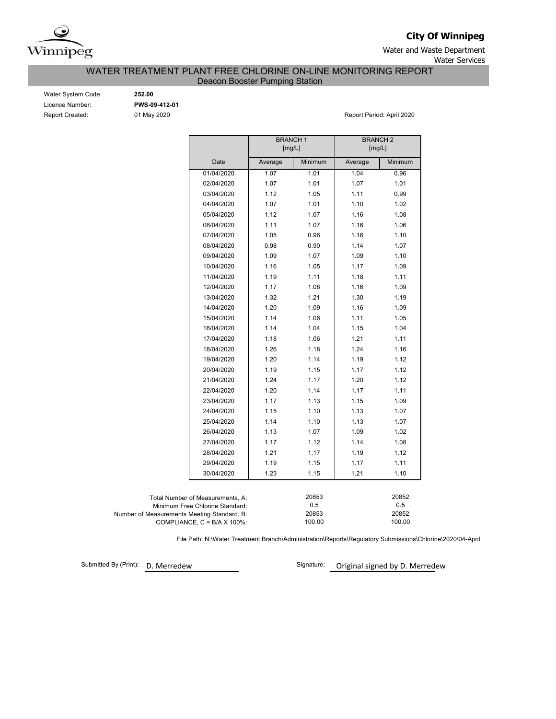

**City Of Winnipeg**

Water and Waste Department Water Services

WATER TREATMENT PLANT FREE CHLORINE ON-LINE MONITORING REPORT

Deacon Booster Pumping Station

| Water System Code: |
|--------------------|
| Licence Number:    |
| Report Created:    |

Water System Code: **252.00** Licence Number: **PWS-09-412-01**

01 May 2020 **Report Period: April 2020** 

|                                             |                                      | <b>BRANCH1</b><br>[mg/L]  |         | <b>BRANCH2</b><br>[mg/L] |              |  |  |  |  |
|---------------------------------------------|--------------------------------------|---------------------------|---------|--------------------------|--------------|--|--|--|--|
|                                             | Date                                 | Average                   | Minimum | Average                  | Minimum      |  |  |  |  |
|                                             | 01/04/2020                           | 1.07                      | 1.01    | 1.04                     | 0.96         |  |  |  |  |
|                                             | 02/04/2020                           | 1.07                      | 1.01    | 1.07                     | 1.01         |  |  |  |  |
|                                             | 03/04/2020                           | 1.12                      | 1.05    | 1.11                     | 0.99         |  |  |  |  |
|                                             | 04/04/2020                           | 1.07                      | 1.01    | 1.10                     | 1.02         |  |  |  |  |
|                                             | 05/04/2020                           | 1.12                      | 1.07    | 1.16                     | 1.08         |  |  |  |  |
|                                             | 06/04/2020                           | 1.11                      | 1.07    | 1.16                     | 1.06         |  |  |  |  |
|                                             | 07/04/2020                           | 1.05                      | 0.96    | 1.16                     | 1.10         |  |  |  |  |
|                                             | 08/04/2020                           | 0.98                      | 0.90    | 1.14                     | 1.07         |  |  |  |  |
|                                             | 09/04/2020                           | 1.09                      | 1.07    | 1.09                     | 1.10         |  |  |  |  |
|                                             | 10/04/2020                           | 1.16                      | 1.05    | 1.17                     | 1.09         |  |  |  |  |
|                                             | 11/04/2020                           | 1.19                      | 1.11    | 1.18                     | 1.11         |  |  |  |  |
|                                             | 12/04/2020                           | 1.17                      | 1.08    | 1.16                     | 1.09         |  |  |  |  |
|                                             | 13/04/2020                           | 1.32                      | 1.21    | 1.30                     | 1.19         |  |  |  |  |
|                                             | 14/04/2020                           | 1.20                      | 1.09    | 1.16                     | 1.09         |  |  |  |  |
|                                             | 15/04/2020                           | 1.14                      | 1.06    | 1.11                     | 1.05         |  |  |  |  |
|                                             | 16/04/2020                           | 1.14                      | 1.04    | 1.15                     | 1.04         |  |  |  |  |
|                                             | 17/04/2020                           | 1.18                      | 1.06    | 1.21                     | 1.11         |  |  |  |  |
|                                             | 18/04/2020                           | 1.26                      | 1.18    | 1.24                     | 1.16         |  |  |  |  |
|                                             | 19/04/2020                           | 1.20                      | 1.14    | 1.19                     | 1.12         |  |  |  |  |
|                                             | 20/04/2020                           | 1.19                      | 1.15    | 1.17                     | 1.12         |  |  |  |  |
|                                             | 21/04/2020                           | 1.24                      | 1.17    | 1.20                     | 1.12         |  |  |  |  |
|                                             | 22/04/2020                           | 1.20                      | 1.14    | 1.17                     | 1.11         |  |  |  |  |
|                                             | 23/04/2020                           | 1.17                      | 1.13    | 1.15                     | 1.09         |  |  |  |  |
|                                             | 24/04/2020                           | 1.15                      | 1.10    | 1.13                     | 1.07         |  |  |  |  |
|                                             | 25/04/2020                           | 1.14                      | 1.10    | 1.13                     | 1.07         |  |  |  |  |
|                                             | 26/04/2020                           | 1.13                      | 1.07    | 1.09                     | 1.02         |  |  |  |  |
|                                             | 27/04/2020                           | 1.17                      | 1.12    | 1.14                     | 1.08         |  |  |  |  |
|                                             | 28/04/2020                           | 1.21                      | 1.17    | 1.19                     | 1.12         |  |  |  |  |
|                                             | 29/04/2020                           | 1.19                      | 1.15    | 1.17                     | 1.11         |  |  |  |  |
|                                             | 30/04/2020                           | 1.23                      | 1.15    | 1.21                     | 1.10         |  |  |  |  |
|                                             |                                      |                           |         |                          |              |  |  |  |  |
|                                             | Total Number of Measurements, A:     |                           | 20853   |                          | 20852        |  |  |  |  |
|                                             | Minimum Free Chlorine Standard:      |                           | 0.5     |                          | 0.5<br>20852 |  |  |  |  |
| Number of Measurements Meeting Standard, B: | COMPLIANCE, $C = B/A \times 100\%$ : | 20853<br>100.00<br>100.00 |         |                          |              |  |  |  |  |

File Path: N:\Water Treatment Branch\Administration\Reports\Regulatory Submissions\Chlorine\2020\04-April

Submitted By (Print): D. Merredew

Signature: Original signed by D. Merredew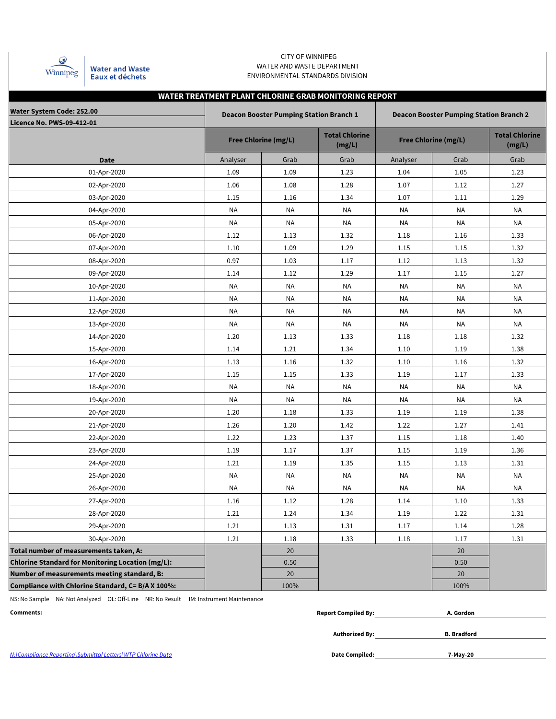| Vinnip |
|--------|

**Water and Waste** Eaux et déchets

### CITY OF WINNIPEG WATER AND WASTE DEPARTMENT ENVIRONMENTAL STANDARDS DIVISION

|                                                   |                                                                                                  |                             | WATER TREATMENT PLANT CHLORINE GRAB MONITORING REPORT |           |                             |                                 |  |  |  |  |  |  |
|---------------------------------------------------|--------------------------------------------------------------------------------------------------|-----------------------------|-------------------------------------------------------|-----------|-----------------------------|---------------------------------|--|--|--|--|--|--|
| <b>Water System Code: 252.00</b>                  | <b>Deacon Booster Pumping Station Branch 1</b><br><b>Deacon Booster Pumping Station Branch 2</b> |                             |                                                       |           |                             |                                 |  |  |  |  |  |  |
| <b>Licence No. PWS-09-412-01</b>                  |                                                                                                  |                             |                                                       |           |                             |                                 |  |  |  |  |  |  |
|                                                   |                                                                                                  | <b>Free Chlorine (mg/L)</b> | <b>Total Chlorine</b><br>(mg/L)                       |           | <b>Free Chlorine (mg/L)</b> | <b>Total Chlorine</b><br>(mg/L) |  |  |  |  |  |  |
| <b>Date</b>                                       | Analyser                                                                                         | Grab                        | Grab                                                  | Analyser  | Grab                        | Grab                            |  |  |  |  |  |  |
| 01-Apr-2020                                       | 1.09                                                                                             | 1.09                        | 1.23                                                  | 1.04      | 1.05                        | 1.23                            |  |  |  |  |  |  |
| 02-Apr-2020                                       | 1.06                                                                                             | 1.08                        | 1.28                                                  | 1.07      | 1.12                        | 1.27                            |  |  |  |  |  |  |
| 03-Apr-2020                                       | 1.15                                                                                             | 1.16                        | 1.34                                                  | 1.07      | 1.11                        | 1.29                            |  |  |  |  |  |  |
| 04-Apr-2020                                       | <b>NA</b>                                                                                        | <b>NA</b>                   | <b>NA</b>                                             | NA        | ΝA                          | <b>NA</b>                       |  |  |  |  |  |  |
| 05-Apr-2020                                       | NA                                                                                               | ΝA                          | NA                                                    | NA        | ΝA                          | NA                              |  |  |  |  |  |  |
| 06-Apr-2020                                       | 1.12                                                                                             | 1.13                        | 1.32                                                  | 1.18      | 1.16                        | 1.33                            |  |  |  |  |  |  |
| 07-Apr-2020                                       | 1.10                                                                                             | 1.09                        | 1.29                                                  | 1.15      | 1.15                        | 1.32                            |  |  |  |  |  |  |
| 08-Apr-2020                                       | 0.97                                                                                             | 1.03                        | 1.17                                                  | 1.12      | 1.13                        | 1.32                            |  |  |  |  |  |  |
| 09-Apr-2020                                       | 1.14                                                                                             | 1.12                        | 1.29                                                  | 1.17      | 1.15                        | 1.27                            |  |  |  |  |  |  |
| 10-Apr-2020                                       | <b>NA</b>                                                                                        | NA                          | <b>NA</b>                                             | <b>NA</b> | <b>NA</b>                   | <b>NA</b>                       |  |  |  |  |  |  |
| 11-Apr-2020                                       | <b>NA</b>                                                                                        | <b>NA</b>                   | <b>NA</b>                                             | <b>NA</b> | <b>NA</b>                   | <b>NA</b>                       |  |  |  |  |  |  |
| 12-Apr-2020                                       | <b>NA</b>                                                                                        | ΝA                          | <b>NA</b>                                             | NA        | ΝA                          | <b>NA</b>                       |  |  |  |  |  |  |
| 13-Apr-2020                                       | <b>NA</b>                                                                                        | <b>NA</b>                   | <b>NA</b>                                             | <b>NA</b> | <b>NA</b>                   | <b>NA</b>                       |  |  |  |  |  |  |
| 14-Apr-2020                                       | 1.20                                                                                             | 1.13                        | 1.33                                                  | 1.18      | 1.18                        | 1.32                            |  |  |  |  |  |  |
| 15-Apr-2020                                       | 1.14                                                                                             | 1.21                        | 1.34                                                  | 1.10      | 1.19                        | 1.38                            |  |  |  |  |  |  |
| 16-Apr-2020                                       | 1.13                                                                                             | 1.16                        | 1.32                                                  | 1.10      | 1.16                        | 1.32                            |  |  |  |  |  |  |
| 17-Apr-2020                                       | 1.15                                                                                             | 1.15                        | 1.33                                                  | 1.19      | 1.17                        | 1.33                            |  |  |  |  |  |  |
| 18-Apr-2020                                       | NA                                                                                               | ΝA                          | <b>NA</b>                                             | NA        | NA                          | <b>NA</b>                       |  |  |  |  |  |  |
| 19-Apr-2020                                       | <b>NA</b>                                                                                        | <b>NA</b>                   | <b>NA</b>                                             | <b>NA</b> | <b>NA</b>                   | <b>NA</b>                       |  |  |  |  |  |  |
| 20-Apr-2020                                       | 1.20                                                                                             | 1.18                        | 1.33                                                  | 1.19      | 1.19                        | 1.38                            |  |  |  |  |  |  |
| 21-Apr-2020                                       | 1.26                                                                                             | 1.20                        | 1.42                                                  | 1.22      | 1.27                        | 1.41                            |  |  |  |  |  |  |
| 22-Apr-2020                                       | 1.22                                                                                             | 1.23                        | 1.37                                                  | 1.15      | 1.18                        | 1.40                            |  |  |  |  |  |  |
| 23-Apr-2020                                       | 1.19                                                                                             | 1.17                        | 1.37                                                  | 1.15      | 1.19                        | 1.36                            |  |  |  |  |  |  |
| 24-Apr-2020                                       | 1.21                                                                                             | 1.19                        | 1.35                                                  | 1.15      | 1.13                        | 1.31                            |  |  |  |  |  |  |
| 25-Apr-2020                                       | <b>NA</b>                                                                                        | <b>NA</b>                   | <b>NA</b>                                             | <b>NA</b> | <b>NA</b>                   | <b>NA</b>                       |  |  |  |  |  |  |
| 26-Apr-2020                                       | <b>NA</b>                                                                                        | NA                          | <b>NA</b>                                             | <b>NA</b> | <b>NA</b>                   | NA                              |  |  |  |  |  |  |
| 27-Apr-2020                                       | 1.16                                                                                             | 1.12                        | 1.28                                                  | 1.14      | 1.10                        | 1.33                            |  |  |  |  |  |  |
| 28-Apr-2020                                       | 1.21                                                                                             | 1.24                        | 1.34                                                  | 1.19      | 1.22                        | 1.31                            |  |  |  |  |  |  |
| 29-Apr-2020                                       | 1.21                                                                                             | 1.13                        | 1.31                                                  | 1.17      | 1.14                        | 1.28                            |  |  |  |  |  |  |
| 30-Apr-2020                                       | 1.21                                                                                             | 1.18                        | 1.33                                                  | 1.18      | 1.17                        | 1.31                            |  |  |  |  |  |  |
| Total number of measurements taken, A:            |                                                                                                  | 20                          |                                                       |           | 20                          |                                 |  |  |  |  |  |  |
| Chlorine Standard for Monitoring Location (mg/L): |                                                                                                  | 0.50                        |                                                       |           | 0.50                        |                                 |  |  |  |  |  |  |
| Number of measurements meeting standard, B:       |                                                                                                  | 20                          |                                                       |           | 20                          |                                 |  |  |  |  |  |  |
| Compliance with Chlorine Standard, C= B/A X 100%: |                                                                                                  | 100%                        |                                                       |           | 100%                        |                                 |  |  |  |  |  |  |

NS: No Sample NA: Not Analyzed OL: Off-Line NR: No Result IM: Instrument Maintenance

| Comments: | <b>Report Compiled By:</b> | A. Gordon          |  |
|-----------|----------------------------|--------------------|--|
|           |                            |                    |  |
|           | <b>Authorized By:</b>      | <b>B.</b> Bradford |  |
|           |                            |                    |  |

N:\Compliance Reporting\Submittal Letters\WTP Chlorine Data **Date Compiled:**

**7-May-20**